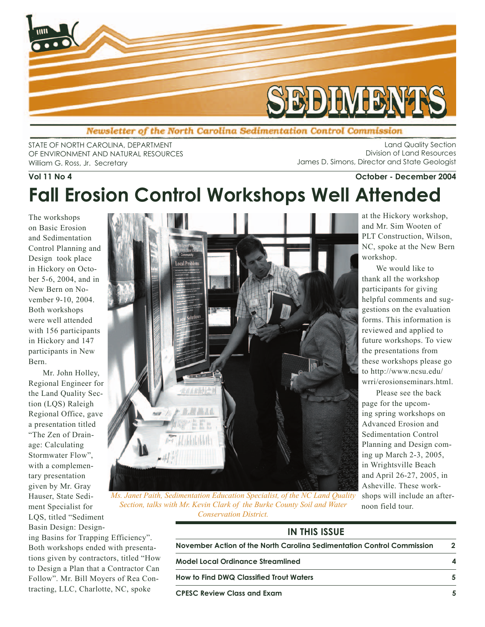

Newsletter of the North Carolina Sedimentation Control Commission

STATE OF NORTH CAROLINA, DEPARTMENT OF ENVIRONMENT AND NATURAL RESOURCES William G. Ross, Jr. Secretary

Land Quality Section Division of Land Resources James D. Simons, Director and State Geologist

We would like to

Please see the back

noon field tour.

# **Vol 11 No 4 October - December 2004 Fall Erosion Control Workshops Well Attended**

The workshops on Basic Erosion and Sedimentation Control Planning and Design took place in Hickory on October 5-6, 2004, and in New Bern on November 9-10, 2004. Both workshops were well attended with 156 participants in Hickory and 147 participants in New Bern.

Mr. John Holley, Regional Engineer for the Land Quality Section (LQS) Raleigh Regional Office, gave a presentation titled "The Zen of Drainage: Calculating Stormwater Flow", with a complementary presentation given by Mr. Gray Hauser, State Sediment Specialist for LQS, titled "Sediment Basin Design: Design-

ing Basins for Trapping Efficiency". Both workshops ended with presentations given by contractors, titled "How to Design a Plan that a Contractor Can Follow". Mr. Bill Moyers of Rea Contracting, LLC, Charlotte, NC, spoke



*Ms. Janet Paith, Sedimentation Education Specialist, of the NC Land Quality Section, talks with Mr. Kevin Clark of the Burke County Soil and Water Conservation District.*

| <b>IN THIS ISSUE</b>                                                   |  |
|------------------------------------------------------------------------|--|
| November Action of the North Carolina Sedimentation Control Commission |  |
| Model Local Ordinance Streamlined                                      |  |
| <b>How to Find DWQ Classified Trout Waters</b>                         |  |
| <b>CPESC Review Class and Exam</b>                                     |  |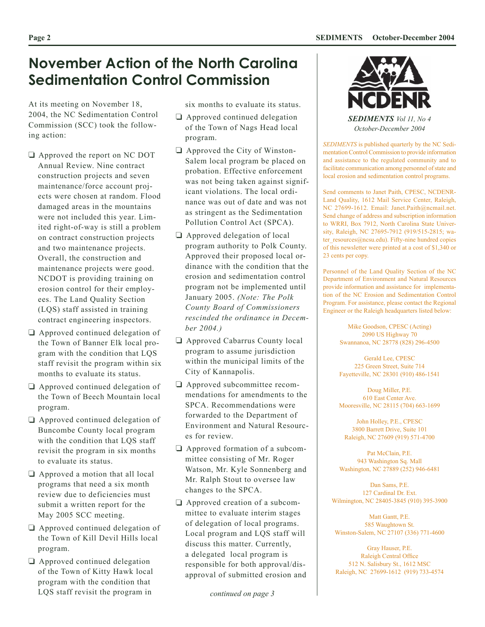## **November Action of the North Carolina Sedimentation Control Commission**

At its meeting on November 18, 2004, the NC Sedimentation Control Commission (SCC) took the following action:

- Approved the report on NC DOT Annual Review. Nine contract construction projects and seven maintenance/force account projects were chosen at random. Flood damaged areas in the mountains were not included this year. Limited right-of-way is still a problem on contract construction projects and two maintenance projects. Overall, the construction and maintenance projects were good. NCDOT is providing training on erosion control for their employees. The Land Quality Section (LQS) staff assisted in training contract engineering inspectors.
- Approved continued delegation of the Town of Banner Elk local program with the condition that LQS staff revisit the program within six months to evaluate its status.
- Approved continued delegation of the Town of Beech Mountain local program.
- □ Approved continued delegation of Buncombe County local program with the condition that LQS staff revisit the program in six months to evaluate its status.
- □ Approved a motion that all local programs that need a six month review due to deficiencies must submit a written report for the May 2005 SCC meeting.
- Approved continued delegation of the Town of Kill Devil Hills local program.
- □ Approved continued delegation of the Town of Kitty Hawk local program with the condition that LQS staff revisit the program in

six months to evaluate its status.

- **Q** Approved continued delegation of the Town of Nags Head local program.
- $\Box$  Approved the City of Winston-Salem local program be placed on probation. Effective enforcement was not being taken against significant violations. The local ordinance was out of date and was not as stringent as the Sedimentation Pollution Control Act (SPCA).
- □ Approved delegation of local program authority to Polk County. Approved their proposed local ordinance with the condition that the erosion and sedimentation control program not be implemented until January 2005. *(Note: The Polk County Board of Commissioners rescinded the ordinance in December 2004.)*
- Approved Cabarrus County local program to assume jurisdiction within the municipal limits of the City of Kannapolis.
- Approved subcommittee recommendations for amendments to the SPCA. Recommendations were forwarded to the Department of Environment and Natural Resources for review.
- □ Approved formation of a subcommittee consisting of Mr. Roger Watson, Mr. Kyle Sonnenberg and Mr. Ralph Stout to oversee law changes to the SPCA.
- □ Approved creation of a subcommittee to evaluate interim stages of delegation of local programs. Local program and LQS staff will discuss this matter. Currently, a delegated local program is responsible for both approval/disapproval of submitted erosion and



*October-December 2004*

*SEDIMENTS* is published quarterly by the NC Sedimentation Control Commission to provide information and assistance to the regulated community and to facilitate communication among personnel of state and local erosion and sedimentation control programs.

Send comments to Janet Paith, CPESC, NCDENR-Land Quality, 1612 Mail Service Center, Raleigh, NC 27699-1612. Email: Janet.Paith@ncmail.net. Send change of address and subscription information to WRRI, Box 7912, North Carolina State University, Raleigh, NC 27695-7912 (919/515-2815; water\_resources@ncsu.edu). Fifty-nine hundred copies of this newsletter were printed at a cost of \$1,340 or 23 cents per copy.

Personnel of the Land Quality Section of the NC Department of Environment and Natural Resources provide information and assistance for implementation of the NC Erosion and Sedimentation Control Program. For assistance, please contact the Regional Engineer or the Raleigh headquarters listed below:

> Mike Goodson, CPESC (Acting) 2090 US Highway 70 Swannanoa, NC 28778 (828) 296-4500

Gerald Lee, CPESC 225 Green Street, Suite 714 Fayetteville, NC 28301 (910) 486-1541

Doug Miller, P.E. 610 East Center Ave. Mooresville, NC 28115 (704) 663-1699

John Holley, P.E., CPESC 3800 Barrett Drive, Suite 101 Raleigh, NC 27609 (919) 571-4700

Pat McClain, P.E. 943 Washington Sq. Mall Washington, NC 27889 (252) 946-6481

Dan Sams, P.E. 127 Cardinal Dr. Ext. Wilmington, NC 28405-3845 (910) 395-3900

Matt Gantt, P.E. 585 Waughtown St. Winston-Salem, NC 27107 (336) 771-4600

Gray Hauser, P.E. Raleigh Central Office 512 N. Salisbury St., 1612 MSC Raleigh, NC 27699-1612 (919) 733-4574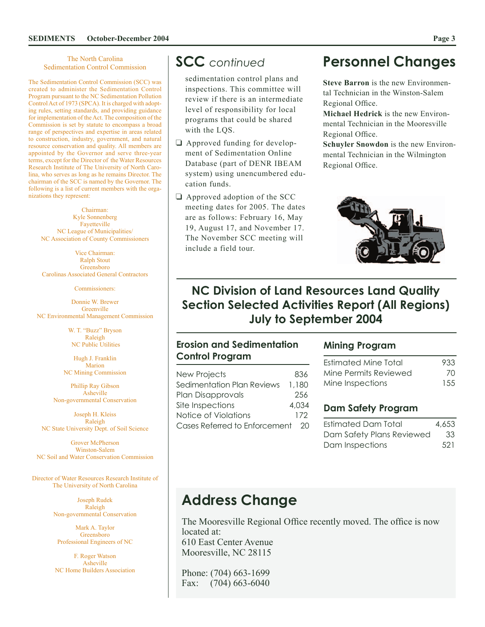#### The North Carolina Sedimentation Control Commission

The Sedimentation Control Commission (SCC) was created to administer the Sedimentation Control Program pursuant to the NC Sedimentation Pollution Control Act of 1973 (SPCA). It is charged with adopting rules, setting standards, and providing guidance for implementation of the Act. The composition of the Commission is set by statute to encompass a broad range of perspectives and expertise in areas related to construction, industry, government, and natural resource conservation and quality. All members are appointed by the Governor and serve three-year terms, except for the Director of the Water Resources Research Institute of The University of North Carolina, who serves as long as he remains Director. The chairman of the SCC is named by the Governor. The following is a list of current members with the organizations they represent:

Chairman: Kyle Sonnenberg Fayetteville NC League of Municipalities/ NC Association of County Commissioners

Vice Chairman: Ralph Stout Greensboro Carolinas Associated General Contractors

Commissioners:

Donnie W. Brewer Greenville NC Environmental Management Commission

> W. T. "Buzz" Bryson Raleigh NC Public Utilities

Hugh J. Franklin Marion NC Mining Commission

Phillip Ray Gibson Asheville Non-governmental Conservation

Joseph H. Kleiss Raleigh NC State University Dept. of Soil Science

Grover McPherson Winston-Salem NC Soil and Water Conservation Commission

Director of Water Resources Research Institute of The University of North Carolina

> Joseph Rudek Raleigh Non-governmental Conservation

Mark A. Taylor Greensboro Professional Engineers of NC

F. Roger Watson Asheville NC Home Builders Association

sedimentation control plans and inspections. This committee will review if there is an intermediate level of responsibility for local programs that could be shared with the LQS.

- **Q** Approved funding for development of Sedimentation Online Database (part of DENR IBEAM system) using unencumbered education funds.
- $\Box$  Approved adoption of the SCC meeting dates for 2005. The dates are as follows: February 16, May 19, August 17, and November 17. The November SCC meeting will include a field tour.

### **SCC** *continued* **Personnel Changes**

**Steve Barron** is the new Environmental Technician in the Winston-Salem Regional Office.

**Michael Hedrick** is the new Environmental Technician in the Mooresville Regional Office.

**Schuyler Snowdon** is the new Environmental Technician in the Wilmington Regional Office.



### **NC Division of Land Resources Land Quality Section Selected Activities Report (All Regions) July to September 2004**

### **Erosion and Sedimentation Control Program**

| <b>New Projects</b>              | 836   |
|----------------------------------|-------|
| Sedimentation Plan Reviews       | 1.180 |
| Plan Disapprovals                | 256   |
| Site Inspections                 | 4.034 |
| Notice of Violations             | 172   |
| Cases Referred to Enforcement 20 |       |

#### **Mining Program**

| Estimated Mine Total  | 933   |
|-----------------------|-------|
| Mine Permits Reviewed | 70    |
| Mine Inspections      | 1.5.5 |

### **Dam Safety Program**

| Estimated Dam Total       | 4,653 |
|---------------------------|-------|
| Dam Safety Plans Reviewed | -33   |
| Dam Inspections           | 521   |

# **Address Change**

The Mooresville Regional Office recently moved. The office is now located at: 610 East Center Avenue Mooresville, NC 28115

Phone: (704) 663-1699 Fax: (704) 663-6040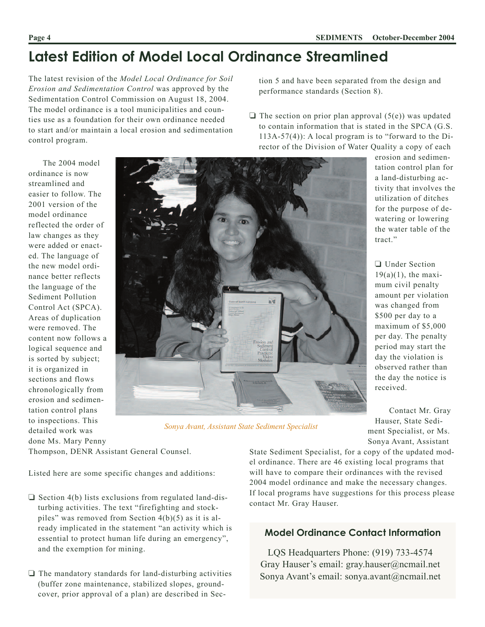tion 5 and have been separated from the design and

 $\Box$  The section on prior plan approval (5(e)) was updated to contain information that is stated in the SPCA (G.S. 113A-57(4)): A local program is to "forward to the Di-

performance standards (Section 8).

# **Latest Edition of Model Local Ordinance Streamlined**

The latest revision of the *Model Local Ordinance for Soil Erosion and Sedimentation Control* was approved by the Sedimentation Control Commission on August 18, 2004. The model ordinance is a tool municipalities and counties use as a foundation for their own ordinance needed to start and/or maintain a local erosion and sedimentation control program.

The 2004 model ordinance is now streamlined and easier to follow. The 2001 version of the model ordinance reflected the order of law changes as they were added or enacted. The language of the new model ordinance better reflects the language of the Sediment Pollution Control Act (SPCA). Areas of duplication were removed. The content now follows a logical sequence and is sorted by subject; it is organized in sections and flows chronologically from erosion and sedimentation control plans to inspections. This detailed work was done Ms. Mary Penny



*Sonya Avant, Assistant State Sediment Specialist*

erosion and sedimentation control plan for a land-disturbing activity that involves the utilization of ditches for the purpose of dewatering or lowering the water table of the tract."

□ Under Section  $19(a)(1)$ , the maximum civil penalty amount per violation was changed from \$500 per day to a maximum of \$5,000 per day. The penalty period may start the day the violation is observed rather than the day the notice is received.

Contact Mr. Gray Hauser, State Sediment Specialist, or Ms. Sonya Avant, Assistant

Thompson, DENR Assistant General Counsel.

Listed here are some specific changes and additions:

- $\Box$  Section 4(b) lists exclusions from regulated land-disturbing activities. The text "firefighting and stockpiles" was removed from Section 4(b)(5) as it is already implicated in the statement "an activity which is essential to protect human life during an emergency", and the exemption for mining.
- $\Box$  The mandatory standards for land-disturbing activities (buffer zone maintenance, stabilized slopes, groundcover, prior approval of a plan) are described in Sec-

State Sediment Specialist, for a copy of the updated model ordinance. There are 46 existing local programs that will have to compare their ordinances with the revised 2004 model ordinance and make the necessary changes. If local programs have suggestions for this process please contact Mr. Gray Hauser.

### **Model Ordinance Contact Information**

LQS Headquarters Phone: (919) 733-4574 Gray Hauser's email: gray.hauser@ncmail.net Sonya Avant's email: sonya.avant@ncmail.net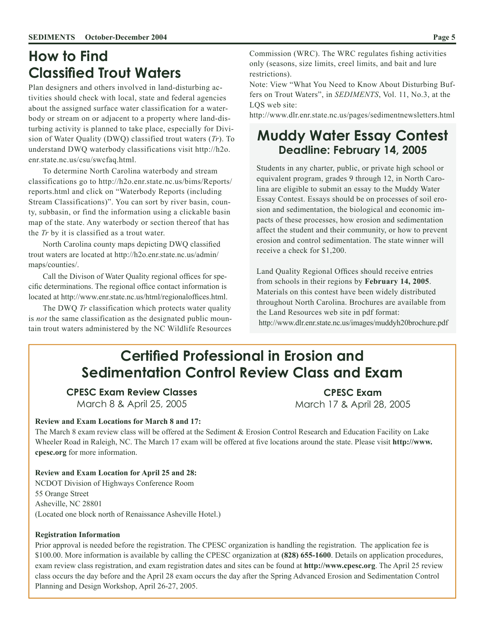### **How to Find Classified Trout Waters**

Plan designers and others involved in land-disturbing activities should check with local, state and federal agencies about the assigned surface water classification for a waterbody or stream on or adjacent to a property where land-disturbing activity is planned to take place, especially for Division of Water Quality (DWQ) classified trout waters (*Tr*). To understand DWQ waterbody classifications visit http://h2o. enr.state.nc.us/csu/swcfaq.html.

To determine North Carolina waterbody and stream classifications go to http://h2o.enr.state.nc.us/bims/Reports/ reports.html and click on "Waterbody Reports (including Stream Classifications)". You can sort by river basin, county, subbasin, or find the information using a clickable basin map of the state. Any waterbody or section thereof that has the *Tr* by it is classified as a trout water.

North Carolina county maps depicting DWQ classified trout waters are located at http://h2o.enr.state.nc.us/admin/ maps/counties/.

Call the Divison of Water Quality regional offices for specific determinations. The regional office contact information is located at http://www.enr.state.nc.us/html/regionaloffices.html.

The DWQ *Tr* classification which protects water quality is *not* the same classification as the designated public mountain trout waters administered by the NC Wildlife Resources

Commission (WRC). The WRC regulates fishing activities only (seasons, size limits, creel limits, and bait and lure restrictions).

Note: View "What You Need to Know About Disturbing Buffers on Trout Waters", in *SEDIMENTS*, Vol. 11, No.3, at the LOS web site:

http://www.dlr.enr.state.nc.us/pages/sedimentnewsletters.html

### **Muddy Water Essay Contest Deadline: February 14, 2005**

Students in any charter, public, or private high school or equivalent program, grades 9 through 12, in North Carolina are eligible to submit an essay to the Muddy Water Essay Contest. Essays should be on processes of soil erosion and sedimentation, the biological and economic impacts of these processes, how erosion and sedimentation affect the student and their community, or how to prevent erosion and control sedimentation. The state winner will receive a check for \$1,200.

Land Quality Regional Offices should receive entries from schools in their regions by **February 14, 2005**. Materials on this contest have been widely distributed throughout North Carolina. Brochures are available from the Land Resources web site in pdf format: http://www.dlr.enr.state.nc.us/images/muddyh20brochure.pdf

# **Certified Professional in Erosion and Sedimentation Control Review Class and Exam**

### **CPESC Exam Review Classes**

March 8 & April 25, 2005

**CPESC Exam** March 17 & April 28, 2005

#### **Review and Exam Locations for March 8 and 17:**

The March 8 exam review class will be offered at the Sediment & Erosion Control Research and Education Facility on Lake Wheeler Road in Raleigh, NC. The March 17 exam will be offered at five locations around the state. Please visit **http://www. cpesc.org** for more information.

**Review and Exam Location for April 25 and 28:**  NCDOT Division of Highways Conference Room 55 Orange Street Asheville, NC 28801 (Located one block north of Renaissance Asheville Hotel.)

#### **Registration Information**

Prior approval is needed before the registration. The CPESC organization is handling the registration. The application fee is \$100.00. More information is available by calling the CPESC organization at **(828) 655-1600**. Details on application procedures, exam review class registration, and exam registration dates and sites can be found at **http://www.cpesc.org**. The April 25 review class occurs the day before and the April 28 exam occurs the day after the Spring Advanced Erosion and Sedimentation Control Planning and Design Workshop, April 26-27, 2005.